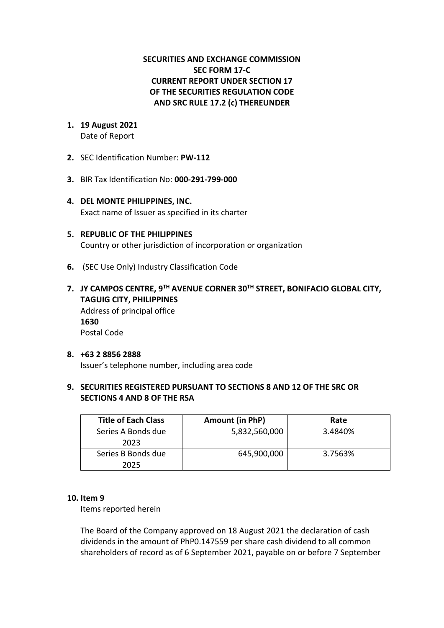# **SECURITIES AND EXCHANGE COMMISSION SEC FORM 17-C CURRENT REPORT UNDER SECTION 17 OF THE SECURITIES REGULATION CODE AND SRC RULE 17.2 (c) THEREUNDER**

- **1. 19 August 2021** Date of Report
- **2.** SEC Identification Number: **PW-112**
- **3.** BIR Tax Identification No: **000-291-799-000**
- **4. DEL MONTE PHILIPPINES, INC.**  Exact name of Issuer as specified in its charter
- **5. REPUBLIC OF THE PHILIPPINES** Country or other jurisdiction of incorporation or organization
- **6.** (SEC Use Only) Industry Classification Code
- **7. JY CAMPOS CENTRE, 9TH AVENUE CORNER 30TH STREET, BONIFACIO GLOBAL CITY, TAGUIG CITY, PHILIPPINES** Address of principal office **1630** Postal Code

#### **8. +63 2 8856 2888** Issuer's telephone number, including area code

## **9. SECURITIES REGISTERED PURSUANT TO SECTIONS 8 AND 12 OF THE SRC OR SECTIONS 4 AND 8 OF THE RSA**

| <b>Title of Each Class</b> | Amount (in PhP) | Rate    |
|----------------------------|-----------------|---------|
| Series A Bonds due<br>2023 | 5,832,560,000   | 3.4840% |
| Series B Bonds due<br>2025 | 645,900,000     | 3.7563% |

#### **10. Item 9**

Items reported herein

The Board of the Company approved on 18 August 2021 the declaration of cash dividends in the amount of PhP0.147559 per share cash dividend to all common shareholders of record as of 6 September 2021, payable on or before 7 September